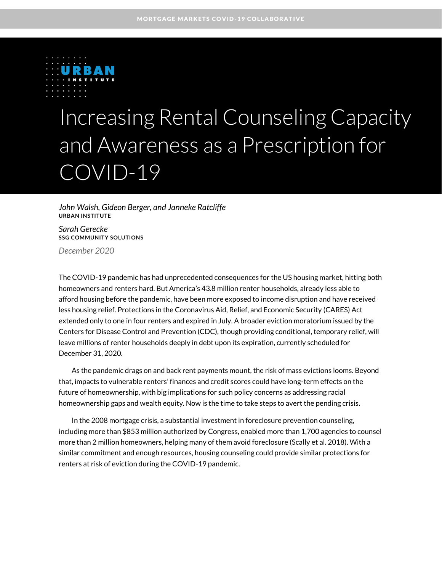

# Increasing Rental Counseling Capacity and Awareness as a Prescription for COVID-19

*John Walsh, Gideon Berger, and Janneke Ratcliffe* **URBAN INSTITUTE**

*Sarah Gerecke* **SSG COMMUNITY SOLUTIONS** *December 2020*

The COVID-19 pandemic has had unprecedented consequences for the US housing market, hitting both homeowners and renters hard. But America's 43.8 million renter households, already less able to afford housing before the pandemic, have been more exposed to income disruption and have received less housing relief. Protections in the Coronavirus Aid, Relief, and Economic Security (CARES) Act extended only to one in four renters and expired in July. A broader eviction moratorium issued by the Centers for Disease Control and Prevention (CDC), though providing conditional, temporary relief, will leave millions of renter households deeply in debt upon its expiration, currently scheduled for December 31, 2020.

As the pandemic drags on and back rent payments mount, the risk of mass evictions looms. Beyond that, impacts to vulnerable renters' finances and credit scores could have long-term effects on the future of homeownership, with big implications for such policy concerns as addressing racial homeownership gaps and wealth equity. Now is the time to take steps to avert the pending crisis.

In the 2008 mortgage crisis, a substantial investment in foreclosure prevention counseling, including more than \$853 million authorized by Congress, enabled more than 1,700 agencies to counsel more than 2 million homeowners, helping many of them avoid foreclosure (Scally et al. 2018). With a similar commitment and enough resources, housing counseling could provide similar protections for renters at risk of eviction during the COVID-19 pandemic.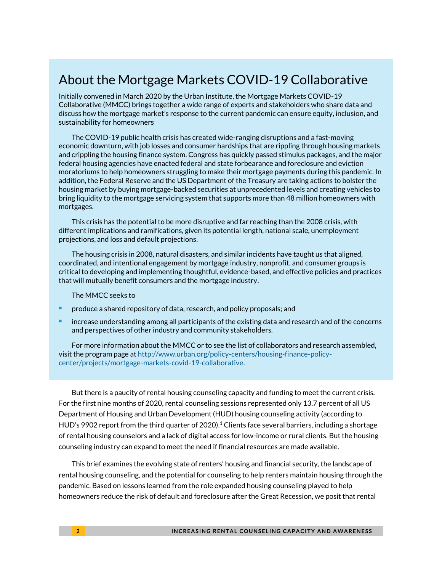### About the Mortgage Markets COVID-19 Collaborative

Initially convened in March 2020 by the Urban Institute, the Mortgage Markets COVID-19 Collaborative (MMCC) brings together a wide range of experts and stakeholders who share data and discuss how the mortgage market's response to the current pandemic can ensure equity, inclusion, and sustainability for homeowners

The COVID-19 public health crisis has created wide-ranging disruptions and a fast-moving economic downturn, with job losses and consumer hardships that are rippling through housing markets and crippling the housing finance system. Congress has quickly passed stimulus packages, and the major federal housing agencies have enacted federal and state forbearance and foreclosure and eviction moratoriums to help homeowners struggling to make their mortgage payments during this pandemic. In addition, the Federal Reserve and the US Department of the Treasury are taking actions to bolster the housing market by buying mortgage-backed securities at unprecedented levels and creating vehicles to bring liquidity to the mortgage servicing system that supports more than 48 million homeowners with mortgages.

This crisis has the potential to be more disruptive and far reaching than the 2008 crisis, with different implications and ramifications, given its potential length, national scale, unemployment projections, and loss and default projections.

The housing crisis in 2008, natural disasters, and similar incidents have taught us that aligned, coordinated, and intentional engagement by mortgage industry, nonprofit, and consumer groups is critical to developing and implementing thoughtful, evidence-based, and effective policies and practices that will mutually benefit consumers and the mortgage industry.

The MMCC seeks to

- <sup>◼</sup> produce a shared repository of data, research, and policy proposals; and
- increase understanding among all participants of the existing data and research and of the concerns and perspectives of other industry and community stakeholders.

For more information about the MMCC or to see the list of collaborators and research assembled, visit the program page a[t http://www.urban.org/policy-centers/housing-finance-policy](http://www.urban.org/policy-centers/housing-finance-policy-center/projects/mortgage-markets-covid-19-collaborative)[center/projects/mortgage-markets-covid-19-collaborative.](http://www.urban.org/policy-centers/housing-finance-policy-center/projects/mortgage-markets-covid-19-collaborative)

But there is a paucity of rental housing counseling capacity and funding to meet the current crisis. For the first nine months of 2020, rental counseling sessions represented only 13.7 percent of all US Department of Housing and Urban Development (HUD) housing counseling activity (according to HUD's 9902 report from the third quarter of 2020).<sup>1</sup> Clients face several barriers, including a shortage of rental housing counselors and a lack of digital access for low-income or rural clients. But the housing counseling industry can expand to meet the need if financial resources are made available.

This brief examines the evolving state of renters' housing and financial security, the landscape of rental housing counseling, and the potential for counseling to help renters maintain housing through the pandemic. Based on lessons learned from the role expanded housing counseling played to help homeowners reduce the risk of default and foreclosure after the Great Recession, we posit that rental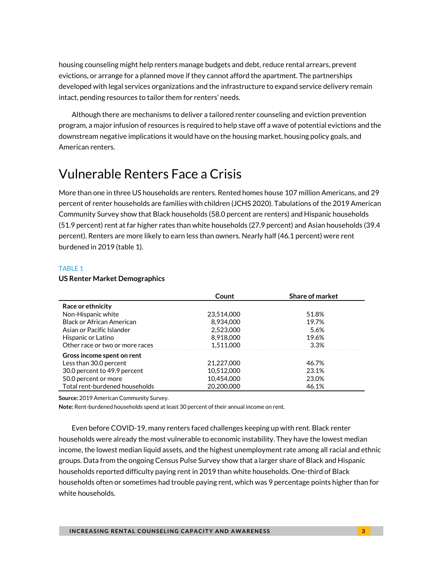housing counseling might help renters manage budgets and debt, reduce rental arrears, prevent evictions, or arrange for a planned move if they cannot afford the apartment. The partnerships developed with legal services organizations and the infrastructure to expand service delivery remain intact, pending resources to tailor them for renters' needs.

Although there are mechanisms to deliver a tailored renter counseling and eviction prevention program, a major infusion of resources is required to help stave off a wave of potential evictions and the downstream negative implications it would have on the housing market, housing policy goals, and American renters.

## Vulnerable Renters Face a Crisis

More than one in three US households are renters. Rented homes house 107 million Americans, and 29 percent of renter households are families with children (JCHS 2020). Tabulations of the 2019 American Community Survey show that Black households (58.0 percent are renters) and Hispanic households (51.9 percent) rent at far higher rates than white households (27.9 percent) and Asian households (39.4 percent). Renters are more likely to earn less than owners. Nearly half (46.1 percent) were rent burdened in 2019 (table 1).

#### TABLE 1

#### **US Renter Market Demographics**

|                                  | Count      | <b>Share of market</b> |
|----------------------------------|------------|------------------------|
| Race or ethnicity                |            |                        |
| Non-Hispanic white               | 23,514,000 | 51.8%                  |
| <b>Black or African American</b> | 8.934.000  | 19.7%                  |
| Asian or Pacific Islander        | 2,523,000  | 5.6%                   |
| Hispanic or Latino               | 8,918,000  | 19.6%                  |
| Other race or two or more races  | 1.511.000  | 3.3%                   |
| Gross income spent on rent       |            |                        |
| Less than 30.0 percent           | 21.227.000 | 46.7%                  |
| 30.0 percent to 49.9 percent     | 10.512.000 | 23.1%                  |
| 50.0 percent or more             | 10.454.000 | 23.0%                  |
| Total rent-burdened households   | 20.200.000 | 46.1%                  |

**Source:** 2019 American Community Survey.

**Note:** Rent-burdened households spend at least 30 percent of their annual income on rent.

Even before COVID-19, many renters faced challenges keeping up with rent. Black renter households were already the most vulnerable to economic instability. They have the lowest median income, the lowest median liquid assets, and the highest unemployment rate among all racial and ethnic groups. Data from the ongoing Census Pulse Survey show that a larger share of Black and Hispanic households reported difficulty paying rent in 2019 than white households. One-third of Black households often or sometimes had trouble paying rent, which was 9 percentage points higher than for white households.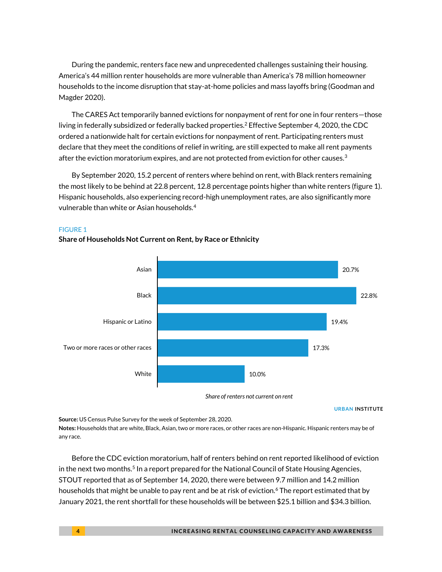During the pandemic, renters face new and unprecedented challenges sustaining their housing. America's 44 million renter households are more vulnerable than America's 78 million homeowner households to the income disruption that stay-at-home policies and mass layoffs bring (Goodman and Magder 2020).

The CARES Act temporarily banned evictions for nonpayment of rent for one in four renters—those living in federally subsidized or federally backed properties.<sup>2</sup> Effective September 4, 2020, the CDC ordered a nationwide halt for certain evictions for nonpayment of rent. Participating renters must declare that they meet the conditions of relief in writing, are still expected to make all rent payments after the eviction moratorium expires, and are not protected from eviction for other causes. $^3$ 

By September 2020, 15.2 percent of renters where behind on rent, with Black renters remaining the most likely to be behind at 22.8 percent, 12.8 percentage points higher than white renters (figure 1). Hispanic households, also experiencing record-high unemployment rates, are also significantly more vulnerable than white or Asian households.<sup>4</sup>

### FIGURE 1



#### **Share of Households Not Current on Rent, by Race or Ethnicity**

**URBAN INSTITUTE**

**Source:** US Census Pulse Survey for the week of September 28, 2020.

**Notes:** Households that are white, Black, Asian, two or more races, or other races are non-Hispanic. Hispanic renters may be of any race.

Before the CDC eviction moratorium, half of renters behind on rent reported likelihood of eviction in the next two months.<sup>5</sup> In a report prepared for the National Council of State Housing Agencies, STOUT reported that as of September 14, 2020, there were between 9.7 million and 14.2 million households that might be unable to pay rent and be at risk of eviction.<sup>6</sup> The report estimated that by January 2021, the rent shortfall for these households will be between \$25.1 billion and \$34.3 billion.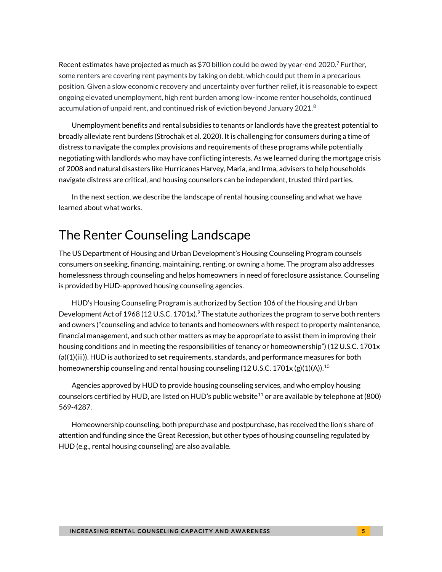Recent estimates have projected as much as \$70 billion could be owed by year-end 2020.<sup>7</sup> Further, some renters are covering rent payments by taking on debt, which could put them in a precarious position. Given a slow economic recovery and uncertainty over further relief, it is reasonable to expect ongoing elevated unemployment, high rent burden among low-income renter households, continued accumulation of unpaid rent, and continued risk of eviction beyond January 2021. $^8$ 

Unemployment benefits and rental subsidies to tenants or landlords have the greatest potential to broadly alleviate rent burdens (Strochak et al. 2020). It is challenging for consumers during a time of distress to navigate the complex provisions and requirements of these programs while potentially negotiating with landlords who may have conflicting interests. As we learned during the mortgage crisis of 2008 and natural disasters like Hurricanes Harvey, Maria, and Irma, advisers to help households navigate distress are critical, and housing counselors can be independent, trusted third parties.

In the next section, we describe the landscape of rental housing counseling and what we have learned about what works.

### The Renter Counseling Landscape

The US Department of Housing and Urban Development's Housing Counseling Program counsels consumers on seeking, financing, maintaining, renting, or owning a home. The program also addresses homelessness through counseling and helps homeowners in need of foreclosure assistance. Counseling is provided by HUD-approved housing counseling agencies.

HUD's Housing Counseling Program is authorized by Section 106 of the Housing and Urban Development Act of 1968 (12 U.S.C. 1701x).<sup>9</sup> The statute authorizes the program to serve both renters and owners ("counseling and advice to tenants and [homeowners](https://www.law.cornell.edu/definitions/uscode.php?width=840&height=800&iframe=true&def_id=12-USC-2133078324-1503978049&term_occur=999&term_src=) with respect to property maintenance, financial management, and such other matters as may be appropriate to assist them in improving their housing conditions and in meeting the responsibilities of tenancy or homeownership") (12 U.S.C. 1701 $x$ (a)(1)(iii)). HUD is authorized to set requirements, standards, and performance measures for both homeownership counseling and rental housing counseling (12 U.S.C. 1701x (g)(1)(A)).<sup>10</sup>

Agencies approved by HUD to provide housing counseling services, and who employ housing counselors certified by HUD, are listed on HUD's public website<sup>11</sup> or are available by telephone at (800) 569-4287.

Homeownership counseling, both prepurchase and postpurchase, has received the lion's share of attention and funding since the Great Recession, but other types of housing counseling regulated by HUD (e.g., rental housing counseling) are also available.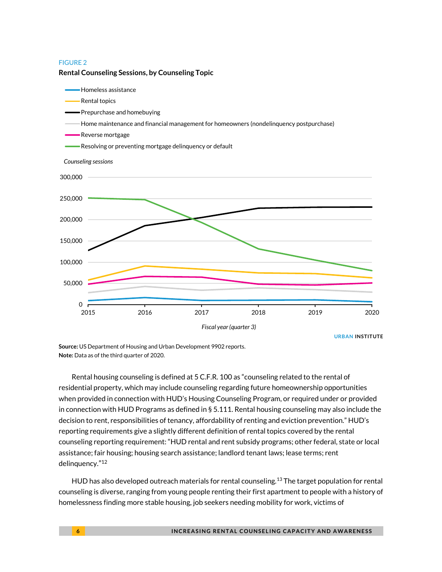#### FIGURE 2



**Rental Counseling Sessions, by Counseling Topic**

**URBAN INSTITUTE**

**Source:** US Department of Housing and Urban Development 9902 reports. **Note:** Data as of the third quarter of 2020.

Rental housing counseling is defined at 5 C.F.R. 100 as "counseling related to the rental of residential property, which may include counseling regarding future homeownership opportunities when provided in connection wit[h HUD](https://www.law.cornell.edu/definitions/index.php?width=840&height=800&iframe=true&def_id=4b78e5fd2284e72f267e7c82c1664dd7&term_occur=999&term_src=Title:24:Subtitle:A:Part:5:Subpart:A:5.100)'s [Housing Counseling](https://www.law.cornell.edu/definitions/index.php?width=840&height=800&iframe=true&def_id=ec54ee0681e685e40fe85d684a24c18f&term_occur=999&term_src=Title:24:Subtitle:A:Part:5:Subpart:A:5.100) Program, or required under or provided in connection wit[h HUD](https://www.law.cornell.edu/definitions/index.php?width=840&height=800&iframe=true&def_id=4b78e5fd2284e72f267e7c82c1664dd7&term_occur=999&term_src=Title:24:Subtitle:A:Part:5:Subpart:A:5.100) Programs as defined i[n § 5.111.](https://www.law.cornell.edu/cfr/text/24/5.111) [Rental housing counseling](https://www.law.cornell.edu/definitions/index.php?width=840&height=800&iframe=true&def_id=4bc243d6aa08ed243badbb39016e06f9&term_occur=999&term_src=Title:24:Subtitle:A:Part:5:Subpart:A:5.100) may also include the decision to rent, responsibilities of tenancy, affordability of renting and eviction prevention." HUD's reporting requirements give a slightly different definition of rental topics covered by the rental counseling reporting requirement: "HUD rental and rent subsidy programs; other federal, state or local assistance; fair housing; housing search assistance; landlord tenant laws; lease terms; rent delinquency." 12

HUD has also developed outreach materials for rental counseling.<sup>13</sup> The target population for rental counseling is diverse, ranging from young people renting their first apartment to people with a history of homelessness finding more stable housing, job seekers needing mobility for work, victims of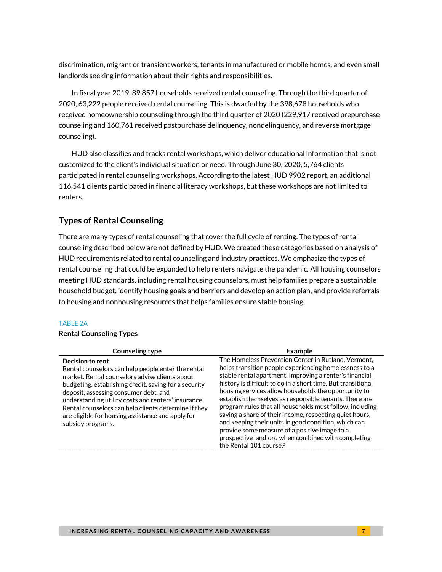discrimination, migrant or transient workers, tenants in manufactured or mobile homes, and even small landlords seeking information about their rights and responsibilities.

In fiscal year 2019, 89,857 households received rental counseling. Through the third quarter of 2020, 63,222 people received rental counseling. This is dwarfed by the 398,678 households who received homeownership counseling through the third quarter of 2020 (229,917 received prepurchase counseling and 160,761 received postpurchase delinquency, nondelinquency, and reverse mortgage counseling).

HUD also classifies and tracks rental workshops, which deliver educational information that is not customized to the client's individual situation or need. Through June 30, 2020, 5,764 clients participated in rental counseling workshops. According to the latest HUD 9902 report, an additional 116,541 clients participated in financial literacy workshops, but these workshops are not limited to renters.

### **Types of Rental Counseling**

There are many types of rental counseling that cover the full cycle of renting. The types of rental counseling described below are not defined by HUD. We created these categories based on analysis of HUD requirements related to rental counseling and industry practices. We emphasize the types of rental counseling that could be expanded to help renters navigate the pandemic. All housing counselors meeting HUD standards, including rental housing counselors, must help families prepare a sustainable household budget, identify housing goals and barriers and develop an action plan, and provide referrals to housing and nonhousing resources that helps families ensure stable housing.

#### TABLE 2A

#### **Rental Counseling Types**

| Counseling type                                                                                                                                                                                                                                                                                                                                                                                                     | <b>Example</b>                                                                                                                                                                                                                                                                                                                                                                                                                                                                                                                                                                                                                                                                          |
|---------------------------------------------------------------------------------------------------------------------------------------------------------------------------------------------------------------------------------------------------------------------------------------------------------------------------------------------------------------------------------------------------------------------|-----------------------------------------------------------------------------------------------------------------------------------------------------------------------------------------------------------------------------------------------------------------------------------------------------------------------------------------------------------------------------------------------------------------------------------------------------------------------------------------------------------------------------------------------------------------------------------------------------------------------------------------------------------------------------------------|
| Decision to rent<br>Rental counselors can help people enter the rental<br>market. Rental counselors advise clients about<br>budgeting, establishing credit, saving for a security<br>deposit, assessing consumer debt, and<br>understanding utility costs and renters' insurance.<br>Rental counselors can help clients determine if they<br>are eligible for housing assistance and apply for<br>subsidy programs. | The Homeless Prevention Center in Rutland, Vermont,<br>helps transition people experiencing homelessness to a<br>stable rental apartment. Improving a renter's financial<br>history is difficult to do in a short time. But transitional<br>housing services allow households the opportunity to<br>establish themselves as responsible tenants. There are<br>program rules that all households must follow, including<br>saving a share of their income, respecting quiet hours,<br>and keeping their units in good condition, which can<br>provide some measure of a positive image to a<br>prospective landlord when combined with completing<br>the Rental 101 course. <sup>a</sup> |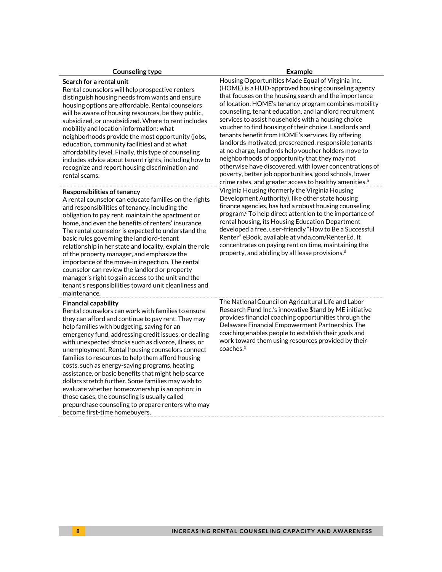#### **Counseling type Example**

#### **Search for a rental unit**

Rental counselors will help prospective renters distinguish housing needs from wants and ensure housing options are affordable. Rental counselors will be aware of housing resources, be they public, subsidized, or unsubsidized. Where to rent includes mobility and location information: what neighborhoods provide the most opportunity (jobs, education, community facilities) and at what affordability level. Finally, this type of counseling includes advice about tenant rights, including how to recognize and report housing discrimination and rental scams.

#### **Responsibilities of tenancy**

A rental counselor can educate families on the rights and responsibilities of tenancy, including the obligation to pay rent, maintain the apartment or home, and even the benefits of renters' insurance. The rental counselor is expected to understand the basic rules governing the landlord-tenant relationship in her state and locality, explain the role of the property manager, and emphasize the importance of the move-in inspection. The rental counselor can review the landlord or property manager's right to gain access to the unit and the tenant's responsibilities toward unit cleanliness and maintenance.

#### **Financial capability**

Rental counselors can work with families to ensure they can afford and continue to pay rent. They may help families with budgeting, saving for an emergency fund, addressing credit issues, or dealing with unexpected shocks such as divorce, illness, or unemployment. Rental housing counselors connect families to resources to help them afford housing costs, such as energy-saving programs, heating assistance, or basic benefits that might help scarce dollars stretch further. Some families may wish to evaluate whether homeownership is an option; in those cases, the counseling is usually called prepurchase counseling to prepare renters who may become first-time homebuyers.

Housing Opportunities Made Equal of Virginia Inc. (HOME) is a HUD-approved housing counseling agency that focuses on the housing search and the importance of location. HOME's tenancy program combines mobility counseling, tenant education, and landlord recruitment services to assist households with a housing choice voucher to find housing of their choice. Landlords and tenants benefit from HOME's services. By offering landlords motivated, prescreened, responsible tenants at no charge, landlords help voucher holders move to neighborhoods of opportunity that they may not otherwise have discovered, with lower concentrations of poverty, better job opportunities, good schools, lower crime rates, and greater access to healthy amenities. b Virginia Housing (formerly the Virginia Housing Development Authority), like other state housing finance agencies, has had a robust housing counseling program. <sup>c</sup> To help direct attention to the importance of rental housing, its Housing Education Department developed a free, user-friendly "How to Be a Successful Renter" eBook, available at vhda.com/RenterEd. It concentrates on paying rent on time, maintaining the property, and abiding by all lease provisions. d

The National Council on Agricultural Life and Labor Research Fund Inc.'s innovative \$tand by ME initiative provides financial coaching opportunities through the Delaware Financial Empowerment Partnership. The coaching enables people to establish their goals and work toward them using resources provided by their coaches. e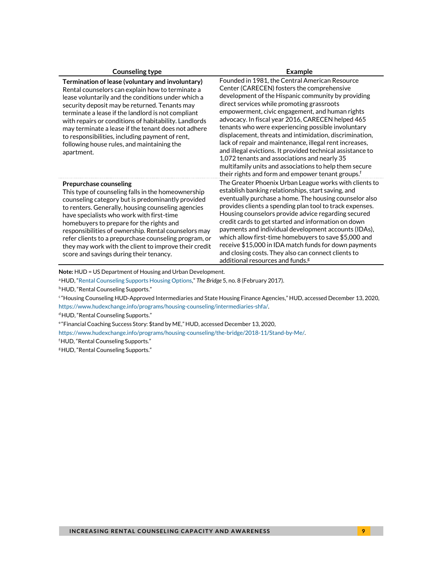#### **Counseling type Example**

**Termination of lease (voluntary and involuntary)**  Rental counselors can explain how to terminate a lease voluntarily and the conditions under which a security deposit may be returned. Tenants may terminate a lease if the landlord is not compliant with repairs or conditions of habitability. Landlords may terminate a lease if the tenant does not adhere to responsibilities, including payment of rent, following house rules, and maintaining the apartment.

#### **Prepurchase counseling**

This type of counseling falls in the homeownership counseling category but is predominantly provided to renters. Generally, housing counseling agencies have specialists who work with first-time homebuyers to prepare for the rights and responsibilities of ownership. Rental counselors may refer clients to a prepurchase counseling program, or they may work with the client to improve their credit score and savings during their tenancy.

Founded in 1981, the Central American Resource Center (CARECEN) fosters the comprehensive development of the Hispanic community by providing direct services while promoting grassroots empowerment, civic engagement, and human rights advocacy. In fiscal year 2016, CARECEN helped 465 tenants who were experiencing possible involuntary displacement, threats and intimidation, discrimination, lack of repair and maintenance, illegal rent increases, and illegal evictions. It provided technical assistance to 1,072 tenants and associations and nearly 35 multifamily units and associations to help them secure their rights and form and empower tenant groups.<sup>f</sup> The Greater Phoenix Urban League works with clients to establish banking relationships, start saving, and eventually purchase a home. The housing counselor also provides clients a spending plan tool to track expenses. Housing counselors provide advice regarding secured credit cards to get started and information on down payments and individual development accounts (IDAs), which allow first-time homebuyers to save \$5,000 and receive \$15,000 in IDA match funds for down payments and closing costs. They also can connect clients to additional resources and funds.<sup>g</sup>

**Note:** HUD = US Department of Housing and Urban Development.

<sup>a</sup>HUD, "[Rental Counseling Supports Housing Options](https://files.hudexchange.info/resources/documents/Housing-Counseling-Bridge-Newsletter-2017-02.pdf)," *The Bridge* 5, no. 8 (February 2017).

**bHUD, "Rental Counseling Supports."** 

<sup>c</sup>"Housing Counseling HUD-Approved Intermediaries and State Housing Finance Agencies," HUD, accessed December 13, 2020, [https://www.hudexchange.info/programs/housing-counseling/intermediaries-shfa/.](https://www.hudexchange.info/programs/housing-counseling/intermediaries-shfa/)

<sup>d</sup>HUD, "Rental Counseling Supports."

<sup>e</sup>"Financial Coaching Success Story: \$tand by ME," HUD, accessed December 13, 2020,

[https://www.hudexchange.info/programs/housing-counseling/the-bridge/2018-11/Stand-by-Me/.](https://www.hudexchange.info/programs/housing-counseling/the-bridge/2018-11/Stand-by-Me/)

<sup>f</sup>HUD, "Rental Counseling Supports."

<sup>8</sup> HUD, "Rental Counseling Supports."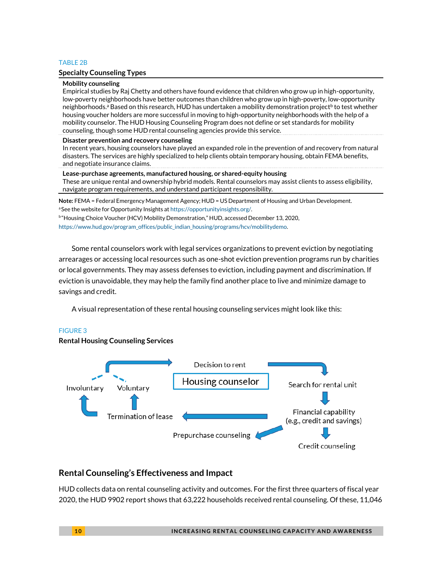#### TABLE 2B

#### **Specialty Counseling Types**

**Mobility counseling**  Empirical studies by Raj Chetty and others have found evidence that children who grow up in high-opportunity, low-poverty neighborhoods have better outcomes than children who grow up in high-poverty, low-opportunity neighborhoods.ª Based on this research, HUD has undertaken a mobility demonstration project<sup>b</sup> to test whether housing voucher holders are more successful in moving to high-opportunity neighborhoods with the help of a mobility counselor. The HUD Housing Counseling Program does not define or set standards for mobility counseling, though some HUD rental counseling agencies provide this service. **Disaster prevention and recovery counseling** 

In recent years, housing counselors have played an expanded role in the prevention of and recovery from natural disasters. The services are highly specialized to help clients obtain temporary housing, obtain FEMA benefits, and negotiate insurance claims.

**Lease-purchase agreements, manufactured housing, or shared-equity housing** These are unique rental and ownership hybrid models. Rental counselors may assist clients to assess eligibility, navigate program requirements, and understand participant responsibility.

**Note:** FEMA = Federal Emergency Management Agency; HUD = US Department of Housing and Urban Development. aSee the website for Opportunity Insights a[t https://opportunityinsights.org/.](https://opportunityinsights.org/)

b "Housing Choice Voucher (HCV) Mobility Demonstration," HUD, accessed December 13, 2020,

[https://www.hud.gov/program\\_offices/public\\_indian\\_housing/programs/hcv/mobilitydemo.](https://www.hud.gov/program_offices/public_indian_housing/programs/hcv/mobilitydemo)

Some rental counselors work with legal services organizations to prevent eviction by negotiating arrearages or accessing local resources such as one-shot eviction prevention programs run by charities or local governments. They may assess defenses to eviction, including payment and discrimination. If eviction is unavoidable, they may help the family find another place to live and minimize damage to savings and credit.

A visual representation of these rental housing counseling services might look like this:

#### FIGURE 3

**Rental Housing Counseling Services** 



#### **Rental Counseling's Effectiveness and Impact**

HUD collects data on rental counseling activity and outcomes. For the first three quarters of fiscal year 2020, the HUD 9902 report shows that 63,222 households received rental counseling. Of these, 11,046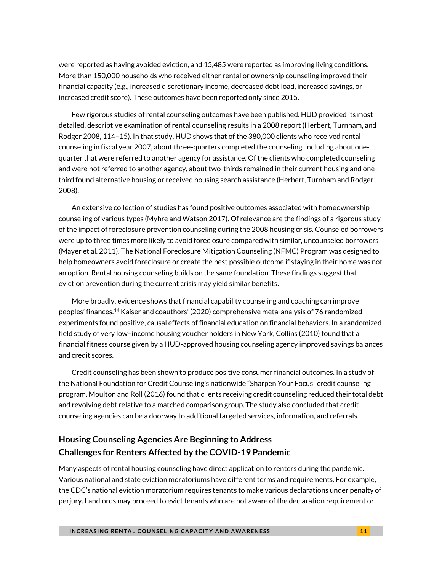were reported as having avoided eviction, and 15,485 were reported as improving living conditions. More than 150,000 households who received either rental or ownership counseling improved their financial capacity (e.g., increased discretionary income, decreased debt load, increased savings, or increased credit score). These outcomes have been reported only since 2015.

Few rigorous studies of rental counseling outcomes have been published. HUD provided its most detailed, descriptive examination of rental counseling results in a 2008 report (Herbert, Turnham, and Rodger 2008, 114–15). In that study, HUD shows that of the 380,000 clients who received rental counseling in fiscal year 2007, about three-quarters completed the counseling, including about onequarter that were referred to another agency for assistance. Of the clients who completed counseling and were not referred to another agency, about two-thirds remained in their current housing and onethird found alternative housing or received housing search assistance (Herbert, Turnham and Rodger 2008).

An extensive collection of studies has found positive outcomes associated with homeownership counseling of various types (Myhre and Watson 2017). Of relevance are the findings of a rigorous study of the impact of foreclosure prevention counseling during the 2008 housing crisis. Counseled borrowers were up to three times more likely to avoid foreclosure compared with similar, uncounseled borrowers (Mayer et al. 2011). The National Foreclosure Mitigation Counseling (NFMC) Program was designed to help homeowners avoid foreclosure or create the best possible outcome if staying in their home was not an option. Rental housing counseling builds on the same foundation. These findings suggest that eviction prevention during the current crisis may yield similar benefits.

More broadly, evidence shows that financial capability counseling and coaching can improve peoples' finances.<sup>14</sup> Kaiser and coauthors' (2020) comprehensive meta-analysis of 76 randomized experiments found positive, causal effects of financial education on financial behaviors. In a randomized field study of very low–income housing voucher holders in New York, Collins (2010) found that a financial fitness course given by a HUD-approved housing counseling agency improved savings balances and credit scores.

Credit counseling has been shown to produce positive consumer financial outcomes. In a study of the National Foundation for Credit Counseling's nationwide "Sharpen Your Focus" credit counseling program, Moulton and Roll (2016) found that clients receiving credit counseling reduced their total debt and revolving debt relative to a matched comparison group. The study also concluded that credit counseling agencies can be a doorway to additional targeted services, information, and referrals.

### **Housing Counseling Agencies Are Beginning to Address Challenges for Renters Affected by the COVID-19 Pandemic**

Many aspects of rental housing counseling have direct application to renters during the pandemic. Various national and state eviction moratoriums have different terms and requirements. For example, the CDC's national eviction moratorium requires tenants to make various declarations under penalty of perjury. Landlords may proceed to evict tenants who are not aware of the declaration requirement or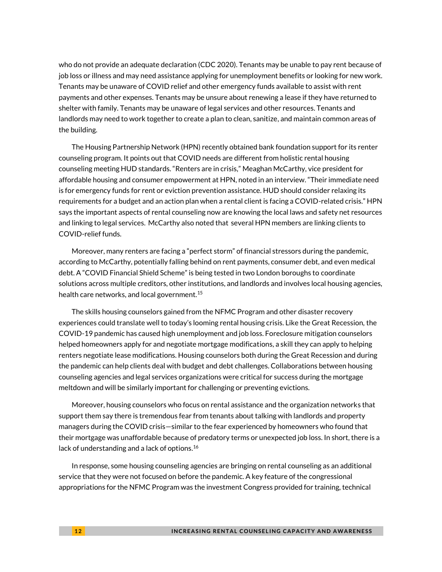who do not provide an adequate declaration (CDC 2020). Tenants may be unable to pay rent because of job loss or illness and may need assistance applying for unemployment benefits or looking for new work. Tenants may be unaware of COVID relief and other emergency funds available to assist with rent payments and other expenses. Tenants may be unsure about renewing a lease if they have returned to shelter with family. Tenants may be unaware of legal services and other resources. Tenants and landlords may need to work together to create a plan to clean, sanitize, and maintain common areas of the building.

The Housing Partnership Network (HPN) recently obtained bank foundation support for its renter counseling program. It points out that COVID needs are different from holistic rental housing counseling meeting HUD standards. "Renters are in crisis," Meaghan McCarthy, vice president for affordable housing and consumer empowerment at HPN, noted in an interview. "Their immediate need is for emergency funds for rent or eviction prevention assistance. HUD should consider relaxing its requirements for a budget and an action plan when a rental client is facing a COVID-related crisis." HPN says the important aspects of rental counseling now are knowing the local laws and safety net resources and linking to legal services. McCarthy also noted that several HPN members are linking clients to COVID-relief funds.

Moreover, many renters are facing a "perfect storm" of financial stressors during the pandemic, according to McCarthy, potentially falling behind on rent payments, consumer debt, and even medical debt. A "COVID Financial Shield Scheme" is being tested in two London boroughs to coordinate solutions across multiple creditors, other institutions, and landlords and involves local housing agencies, health care networks, and local government.<sup>15</sup>

The skills housing counselors gained from the NFMC Program and other disaster recovery experiences could translate well to today's looming rental housing crisis. Like the Great Recession, the COVID-19 pandemic has caused high unemployment and job loss. Foreclosure mitigation counselors helped homeowners apply for and negotiate mortgage modifications, a skill they can apply to helping renters negotiate lease modifications. Housing counselors both during the Great Recession and during the pandemic can help clients deal with budget and debt challenges. Collaborations between housing counseling agencies and legal services organizations were critical for success during the mortgage meltdown and will be similarly important for challenging or preventing evictions.

Moreover, housing counselors who focus on rental assistance and the organization networks that support them say there is tremendous fear from tenants about talking with landlords and property managers during the COVID crisis—similar to the fear experienced by homeowners who found that their mortgage was unaffordable because of predatory terms or unexpected job loss. In short, there is a lack of understanding and a lack of options.<sup>16</sup>

In response, some housing counseling agencies are bringing on rental counseling as an additional service that they were not focused on before the pandemic. A key feature of the congressional appropriations for the NFMC Program was the investment Congress provided for training, technical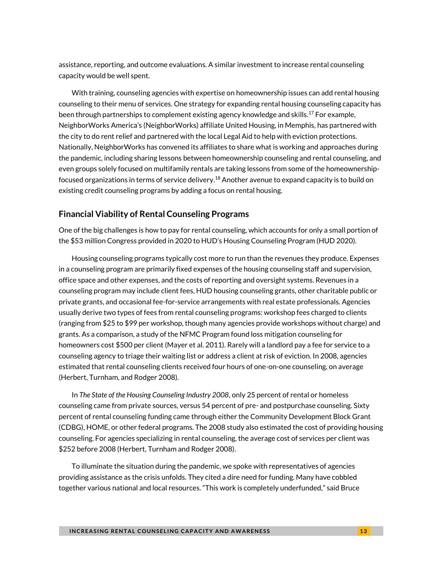assistance, reporting, and outcome evaluations. A similar investment to increase rental counseling capacity would be well spent.

With training, counseling agencies with expertise on homeownership issues can add rental housing counseling to their menu of services. One strategy for expanding rental housing counseling capacity has been through partnerships to complement existing agency knowledge and skills.<sup>17</sup> For example, NeighborWorks America's (NeighborWorks) affiliate United Housing, in Memphis, has partnered with the city to do rent relief and partnered with the local Legal Aid to help with eviction protections. Nationally, NeighborWorks has convened its affiliates to share what is working and approaches during the pandemic, including sharing lessons between homeownership counseling and rental counseling, and even groups solely focused on multifamily rentals are taking lessons from some of the homeownershipfocused organizations in terms of service delivery.<sup>18</sup> Another avenue to expand capacity is to build on existing credit counseling programs by adding a focus on rental housing.

#### **Financial Viability of Rental Counseling Programs**

One of the big challenges is how to pay for rental counseling, which accounts for only a small portion of the \$53 million Congress provided in 2020 to HUD's Housing Counseling Program (HUD 2020).

Housing counseling programs typically cost more to run than the revenues they produce. Expenses in a counseling program are primarily fixed expenses of the housing counseling staff and supervision, office space and other expenses, and the costs of reporting and oversight systems. Revenues in a counseling program may include client fees, HUD housing counseling grants, other charitable public or private grants, and occasional fee-for-service arrangements with real estate professionals. Agencies usually derive two types of fees from rental counseling programs: workshop fees charged to clients (ranging from \$25 to \$99 per workshop, though many agencies provide workshops without charge) and grants. As a comparison, a study of the NFMC Program found loss mitigation counseling for homeowners cost \$500 per client (Mayer et al. 2011). Rarely will a landlord pay a fee for service to a counseling agency to triage their waiting list or address a client at risk of eviction. In 2008, agencies estimated that rental counseling clients received four hours of one-on-one counseling, on average (Herbert, Turnham, and Rodger 2008).

In *The State of the Housing Counseling Industry 2008*, only 25 percent of rental or homeless counseling came from private sources, versus 54 percent of pre- and postpurchase counseling. Sixty percent of rental counseling funding came through either the Community Development Block Grant (CDBG), HOME, or other federal programs. The 2008 study also estimated the cost of providing housing counseling. For agencies specializing in rental counseling, the average cost of services per client was \$252 before 2008 (Herbert, Turnham and Rodger 2008).

To illuminate the situation during the pandemic, we spoke with representatives of agencies providing assistance as the crisis unfolds. They cited a dire need for funding. Many have cobbled together various national and local resources. "This work is completely underfunded," said Bruce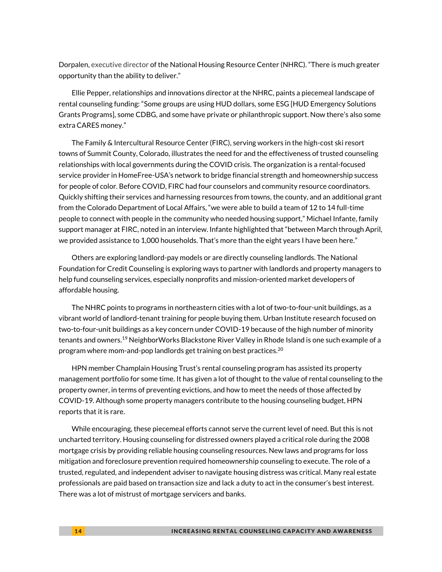Dorpalen, executive director of the National Housing Resource Center (NHRC). "There is much greater opportunity than the ability to deliver."

Ellie Pepper, relationships and innovations director at the NHRC, paints a piecemeal landscape of rental counseling funding: "Some groups are using HUD dollars, some ESG [HUD Emergency Solutions Grants Programs], some CDBG, and some have private or philanthropic support. Now there's also some extra CARES money."

The Family & Intercultural Resource Center (FIRC), serving workers in the high-cost ski resort towns of Summit County, Colorado, illustrates the need for and the effectiveness of trusted counseling relationships with local governments during the COVID crisis. The organization is a rental-focused service provider in HomeFree-USA's network to bridge financial strength and homeownership success for people of color. Before COVID, FIRC had four counselors and community resource coordinators. Quickly shifting their services and harnessing resources from towns, the county, and an additional grant from the Colorado Department of Local Affairs, "we were able to build a team of 12 to 14 full-time people to connect with people in the community who needed housing support," Michael Infante, family support manager at FIRC, noted in an interview. Infante highlighted that "between March through April, we provided assistance to 1,000 households. That's more than the eight years I have been here."

Others are exploring landlord-pay models or are directly counseling landlords. The National Foundation for Credit Counseling is exploring ways to partner with landlords and property managers to help fund counseling services, especially nonprofits and mission-oriented market developers of affordable housing.

The NHRC points to programs in northeastern cities with a lot of two-to-four-unit buildings, as a vibrant world of landlord-tenant training for people buying them. Urban Institute research focused on two-to-four-unit buildings as a key concern under COVID-19 because of the high number of minority tenants and owners.<sup>19</sup> NeighborWorks Blackstone River Valley in Rhode Island is one such example of a program where mom-and-pop landlords get training on best practices.<sup>20</sup>

HPN member Champlain Housing Trust's rental counseling program has assisted its property management portfolio for some time. It has given a lot of thought to the value of rental counseling to the property owner, in terms of preventing evictions, and how to meet the needs of those affected by COVID-19. Although some property managers contribute to the housing counseling budget, HPN reports that it is rare.

While encouraging, these piecemeal efforts cannot serve the current level of need. But this is not uncharted territory. Housing counseling for distressed owners played a critical role during the 2008 mortgage crisis by providing reliable housing counseling resources. New laws and programs for loss mitigation and foreclosure prevention required homeownership counseling to execute. The role of a trusted, regulated, and independent adviser to navigate housing distress was critical. Many real estate professionals are paid based on transaction size and lack a duty to act in the consumer's best interest. There was a lot of mistrust of mortgage servicers and banks.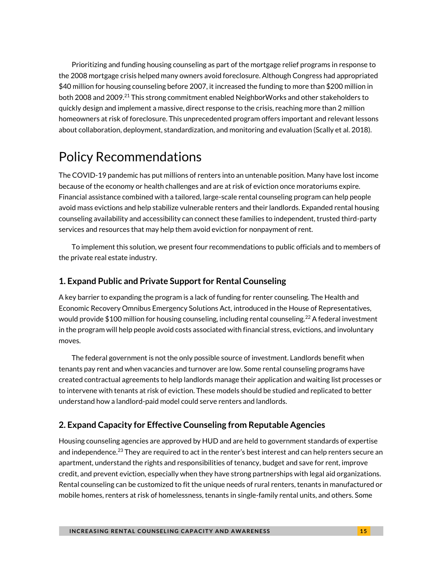Prioritizing and funding housing counseling as part of the mortgage relief programs in response to the 2008 mortgage crisis helped many owners avoid foreclosure. Although Congress had appropriated \$40 million for housing counseling before 2007, it increased the funding to more than \$200 million in both 2008 and 2009.<sup>21</sup> This strong commitment enabled NeighborWorks and other stakeholders to quickly design and implement a massive, direct response to the crisis, reaching more than 2 million homeowners at risk of foreclosure. This unprecedented program offers important and relevant lessons about collaboration, deployment, standardization, and monitoring and evaluation (Scally et al. 2018).

### Policy Recommendations

The COVID-19 pandemic has put millions of renters into an untenable position. Many have lost income because of the economy or health challenges and are at risk of eviction once moratoriums expire. Financial assistance combined with a tailored, large-scale rental counseling program can help people avoid mass evictions and help stabilize vulnerable renters and their landlords. Expanded rental housing counseling availability and accessibility can connect these families to independent, trusted third-party services and resources that may help them avoid eviction for nonpayment of rent.

To implement this solution, we present four recommendations to public officials and to members of the private real estate industry.

#### **1. Expand Public and Private Support for Rental Counseling**

A key barrier to expanding the program is a lack of funding for renter counseling. The Health and Economic Recovery Omnibus Emergency Solutions Act, introduced in the House of Representatives, would provide \$100 million for housing counseling, including rental counseling.<sup>22</sup> A federal investment in the program will help people avoid costs associated with financial stress, evictions, and involuntary moves.

The federal government is not the only possible source of investment. Landlords benefit when tenants pay rent and when vacancies and turnover are low. Some rental counseling programs have created contractual agreements to help landlords manage their application and waiting list processes or to intervene with tenants at risk of eviction. These models should be studied and replicated to better understand how a landlord-paid model could serve renters and landlords.

### **2. Expand Capacity for Effective Counseling from Reputable Agencies**

Housing counseling agencies are approved by HUD and are held to government standards of expertise and independence. $^{23}$  They are required to act in the renter's best interest and can help renters secure an apartment, understand the rights and responsibilities of tenancy, budget and save for rent, improve credit, and prevent eviction, especially when they have strong partnerships with legal aid organizations. Rental counseling can be customized to fit the unique needs of rural renters, tenants in manufactured or mobile homes, renters at risk of homelessness, tenants in single-family rental units, and others. Some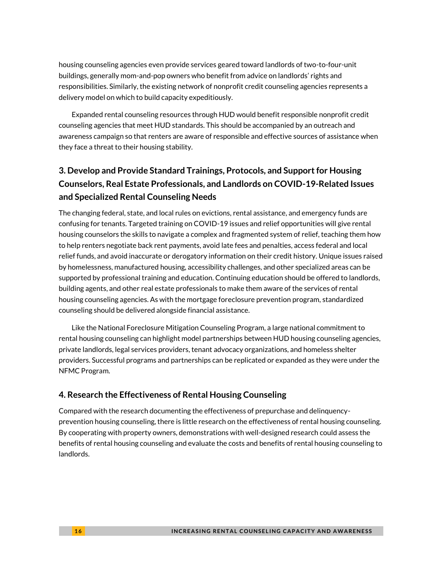housing counseling agencies even provide services geared toward landlords of two-to-four-unit buildings, generally mom-and-pop owners who benefit from advice on landlords' rights and responsibilities. Similarly, the existing network of nonprofit credit counseling agencies represents a delivery model on which to build capacity expeditiously.

Expanded rental counseling resources through HUD would benefit responsible nonprofit credit counseling agencies that meet HUD standards. This should be accompanied by an outreach and awareness campaign so that renters are aware of responsible and effective sources of assistance when they face a threat to their housing stability.

### **3. Develop and Provide Standard Trainings, Protocols, and Support for Housing Counselors, Real Estate Professionals, and Landlords on COVID-19-Related Issues and Specialized Rental Counseling Needs**

The changing federal, state, and local rules on evictions, rental assistance, and emergency funds are confusing for tenants. Targeted training on COVID-19 issues and relief opportunities will give rental housing counselors the skills to navigate a complex and fragmented system of relief, teaching them how to help renters negotiate back rent payments, avoid late fees and penalties, access federal and local relief funds, and avoid inaccurate or derogatory information on their credit history. Unique issues raised by homelessness, manufactured housing, accessibility challenges, and other specialized areas can be supported by professional training and education. Continuing education should be offered to landlords, building agents, and other real estate professionals to make them aware of the services of rental housing counseling agencies. As with the mortgage foreclosure prevention program, standardized counseling should be delivered alongside financial assistance.

Like the National Foreclosure Mitigation Counseling Program, a large national commitment to rental housing counseling can highlight model partnerships between HUD housing counseling agencies, private landlords, legal services providers, tenant advocacy organizations, and homeless shelter providers. Successful programs and partnerships can be replicated or expanded as they were under the NFMC Program.

### **4. Research the Effectiveness of Rental Housing Counseling**

Compared with the research documenting the effectiveness of prepurchase and delinquencyprevention housing counseling, there is little research on the effectiveness of rental housing counseling. By cooperating with property owners, demonstrations with well-designed research could assess the benefits of rental housing counseling and evaluate the costs and benefits of rental housing counseling to landlords.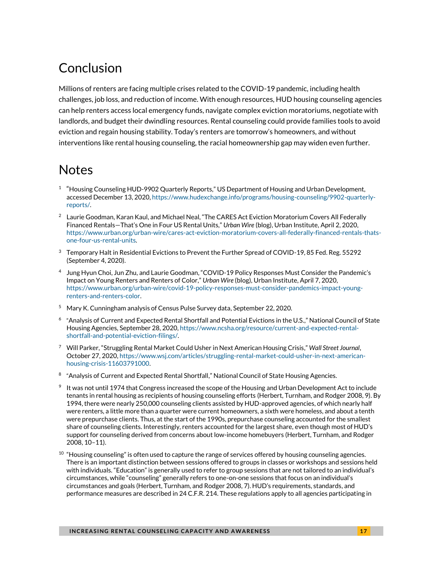## Conclusion

Millions of renters are facing multiple crises related to the COVID-19 pandemic, including health challenges, job loss, and reduction of income. With enough resources, HUD housing counseling agencies can help renters access local emergency funds, navigate complex eviction moratoriums, negotiate with landlords, and budget their dwindling resources. Rental counseling could provide families tools to avoid eviction and regain housing stability. Today's renters are tomorrow's homeowners, and without interventions like rental housing counseling, the racial homeownership gap may widen even further.

### **Notes**

- 1 "Housing Counseling HUD-9902 Quarterly Reports," US Department of Housing and Urban Development, accessed December 13, 2020, https://www.hudexchange.info/programs/housing-counseling/9902-quarterlyreports/.
- <sup>2</sup> Laurie Goodman, Karan Kaul, and Michael Neal, "The CARES Act Eviction Moratorium Covers All Federally Financed Rentals—That's One in Four US Rental Units," *Urban Wire* (blog), Urban Institute, April 2, 2020, [https://www.urban.org/urban-wire/cares-act-eviction-moratorium-covers-all-federally-financed-rentals-thats](https://www.urban.org/urban-wire/cares-act-eviction-moratorium-covers-all-federally-financed-rentals-thats-one-four-us-rental-units)[one-four-us-rental-units.](https://www.urban.org/urban-wire/cares-act-eviction-moratorium-covers-all-federally-financed-rentals-thats-one-four-us-rental-units)
- <sup>3</sup> Temporary Halt in Residential Evictions to Prevent the Further Spread of COVID-19, 85 Fed. Reg. 55292 (September 4, 2020).
- 4 Jung Hyun Choi, Jun Zhu, and Laurie Goodman, "COVID-19 Policy Responses Must Consider the Pandemic's Impact on Young Renters and Renters of Color," *Urban Wire* (blog), Urban Institute, April 7, 2020, [https://www.urban.org/urban-wire/covid-19-policy-responses-must-consider-pandemics-impact-young](https://www.urban.org/urban-wire/covid-19-policy-responses-must-consider-pandemics-impact-young-renters-and-renters-color)[renters-and-renters-color.](https://www.urban.org/urban-wire/covid-19-policy-responses-must-consider-pandemics-impact-young-renters-and-renters-color)
- <sup>5</sup> Mary K. Cunningham analysis of Census Pulse Survey data, September 22, 2020.
- $^6$  "Analysis of Current and Expected Rental Shortfall and Potential Evictions in the U.S.," National Council of State Housing Agencies, September 28, 2020, https://www.ncsha.org/resource/current-and-expected-rentalshortfall-and-potential-eviction-filings/.
- <sup>7</sup> Will Parker, "Struggling Rental Market Could Usher in Next American Housing Crisis," *Wall Street Journal*, October 27, 2020[, https://www.wsj.com/articles/struggling-rental-market-could-usher-in-next-american](https://www.wsj.com/articles/struggling-rental-market-could-usher-in-next-american-housing-crisis-11603791000)[housing-crisis-11603791000.](https://www.wsj.com/articles/struggling-rental-market-could-usher-in-next-american-housing-crisis-11603791000)
- $8$  "Analysis of Current and Expected Rental Shortfall," National Council of State Housing Agencies.
- $9$  It was not until 1974 that Congress increased the scope of the Housing and Urban Development Act to include tenants in rental housing as recipients of housing counseling efforts (Herbert, Turnham, and Rodger 2008, 9). By 1994, there were nearly 250,000 counseling clients assisted by HUD-approved agencies, of which nearly half were renters, a little more than a quarter were current homeowners, a sixth were homeless, and about a tenth were prepurchase clients. Thus, at the start of the 1990s, prepurchase counseling accounted for the smallest share of counseling clients. Interestingly, renters accounted for the largest share, even though most of HUD's support for counseling derived from concerns about low-income homebuyers (Herbert, Turnham, and Rodger 2008, 10–11).
- $10$  "Housing counseling" is often used to capture the range of services offered by housing counseling agencies. There is an important distinction between sessions offered to groups in classes or workshops and sessions held with individuals. "Education" is generally used to refer to group sessions that are not tailored to an individual's circumstances, while "counseling" generally refers to one-on-one sessions that focus on an individual's circumstances and goals (Herbert, Turnham, and Rodger 2008, 7). HUD's requirements, standards, and performance measures are described in 24 C.F.R. 214. These regulations apply to all agencies participating in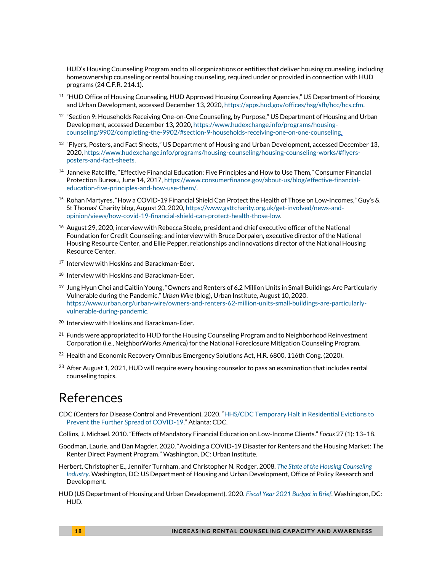HUD's [Housing Counseling](https://www.law.cornell.edu/definitions/index.php?width=840&height=800&iframe=true&def_id=cf71a3d85ea25af1b427632f865fd91c&term_occur=999&term_src=Title:24:Subtitle:B:Chapter:II:Subchapter:B:Part:214:Subpart:A:214.1) Program and to all organizations or entities that deliver [housing counseling,](https://www.law.cornell.edu/definitions/index.php?width=840&height=800&iframe=true&def_id=cf71a3d85ea25af1b427632f865fd91c&term_occur=999&term_src=Title:24:Subtitle:B:Chapter:II:Subchapter:B:Part:214:Subpart:A:214.1) including [homeownership counseling](https://www.law.cornell.edu/definitions/index.php?width=840&height=800&iframe=true&def_id=7c2ca5f8557bbc415b44239ccb32233c&term_occur=999&term_src=Title:24:Subtitle:B:Chapter:II:Subchapter:B:Part:214:Subpart:A:214.1) or [rental housing counseling,](https://www.law.cornell.edu/definitions/index.php?width=840&height=800&iframe=true&def_id=6ff7a03399edbd5da2567398b3358588&term_occur=999&term_src=Title:24:Subtitle:B:Chapter:II:Subchapter:B:Part:214:Subpart:A:214.1) required under or provided in connection with HUD programs (24 C.F.R. 214.1).

- <sup>11</sup> "HUD Office of Housing Counseling, HUD Approved Housing Counseling Agencies," US Department of Housing and Urban Development, accessed December 13, 2020[, https://apps.hud.gov/offices/hsg/sfh/hcc/hcs.cfm.](https://apps.hud.gov/offices/hsg/sfh/hcc/hcs.cfm)
- $^{12}$  "Section 9: Households Receiving One-on-One Counseling, by Purpose," US Department of Housing and Urban Development, accessed December 13, 2020[, https://www.hudexchange.info/programs/housing](https://www.hudexchange.info/programs/housing-counseling/9902/completing-the-9902/#section-9-households-receiving-one-on-one-counseling)[counseling/9902/completing-the-9902/#section-9-households-receiving-one-on-one-counseling.](https://www.hudexchange.info/programs/housing-counseling/9902/completing-the-9902/#section-9-households-receiving-one-on-one-counseling)
- $^{13}$  "Flyers, Posters, and Fact Sheets," US Department of Housing and Urban Development, accessed December 13, 2020[, https://www.hudexchange.info/programs/housing-counseling/housing-counseling-works/#flyers](https://www.hudexchange.info/programs/housing-counseling/housing-counseling-works/#flyers-posters-and-fact-sheets)[posters-and-fact-sheets.](https://www.hudexchange.info/programs/housing-counseling/housing-counseling-works/#flyers-posters-and-fact-sheets)
- <sup>14</sup> Janneke Ratcliffe, "Effective Financial Education: Five Principles and How to Use Them," Consumer Financial Protection Bureau, June 14, 2017[, https://www.consumerfinance.gov/about-us/blog/effective-financial](https://www.consumerfinance.gov/about-us/blog/effective-financial-education-five-principles-and-how-use-them/)[education-five-principles-and-how-use-them/.](https://www.consumerfinance.gov/about-us/blog/effective-financial-education-five-principles-and-how-use-them/)
- <sup>15</sup> Rohan Martyres, "How a COVID-19 Financial Shield Can Protect the Health of Those on Low-Incomes," Guy's & St Thomas' Charity blog, August 20, 2020, https://www.gsttcharity.org.uk/get-involved/news-andopinion/views/how-covid-19-financial-shield-can-protect-health-those-low.
- <sup>16</sup> August 29, 2020, interview with Rebecca Steele, president and chief executive officer of the National Foundation for Credit Counseling; and interview with Bruce Dorpalen, executive director of the National Housing Resource Center, and Ellie Pepper, relationships and innovations director of the National Housing Resource Center.
- <sup>17</sup> Interview with Hoskins and Barackman-Eder.
- <sup>18</sup> Interview with Hoskins and Barackman-Eder.
- $19$  Jung Hyun Choi and Caitlin Young, "Owners and Renters of 6.2 Million Units in Small Buildings Are Particularly Vulnerable during the Pandemic," *Urban Wire* (blog), Urban Institute, August 10, 2020, [https://www.urban.org/urban-wire/owners-and-renters-62-million-units-small-buildings-are-particularly](https://www.urban.org/urban-wire/owners-and-renters-62-million-units-small-buildings-are-particularly-vulnerable-during-pandemic)[vulnerable-during-pandemic.](https://www.urban.org/urban-wire/owners-and-renters-62-million-units-small-buildings-are-particularly-vulnerable-during-pandemic)
- <sup>20</sup> Interview with Hoskins and Barackman-Eder.
- $^{21}$  Funds were appropriated to HUD for the Housing Counseling Program and to Neighborhood Reinvestment Corporation (i.e., NeighborWorks America) for the National Foreclosure Mitigation Counseling Program.
- $^{22}$  Health and Economic Recovery Omnibus Emergency Solutions Act, H.R. 6800, 116th Cong. (2020).
- <sup>23</sup> After August 1, 2021, HUD will require every housing counselor to pass an examination that includes rental counseling topics.

### References

CDC (Centers for Disease Control and Prevention). 2020. "[HHS/CDC Temporary Halt in Residential Evictions to](https://www.cdc.gov/coronavirus/2019-ncov/downloads/eviction-moratoria-order-faqs.pdf)  [Prevent the Further Spread of COVID-19](https://www.cdc.gov/coronavirus/2019-ncov/downloads/eviction-moratoria-order-faqs.pdf)." Atlanta: CDC.

Collins, J. Michael. 2010. "Effects of Mandatory Financial Education on Low-Income Clients." *Focus* 27 (1): 13–18.

- Goodman, Laurie, and Dan Magder. 2020. "Avoiding a COVID-19 Disaster for Renters and the Housing Market: The Renter Direct Payment Program." Washington, DC: Urban Institute.
- Herbert, Christopher E., Jennifer Turnham, and Christopher N. Rodger. 2008. *[The State of the Housing Counseling](https://www.huduser.gov/Publications/PDF/hsg_counsel.pdf)  [Industry](https://www.huduser.gov/Publications/PDF/hsg_counsel.pdf)*. Washington, DC: US Department of Housing and Urban Development, Office of Policy Research and Development.
- HUD (US Department of Housing and Urban Development). 2020. *[Fiscal Year 2021 Budget in Brief](https://www.hud.gov/sites/dfiles/CFO/documents/BudgetinBrief_2020-02_06_Online.pdf)*. Washington, DC: HUD.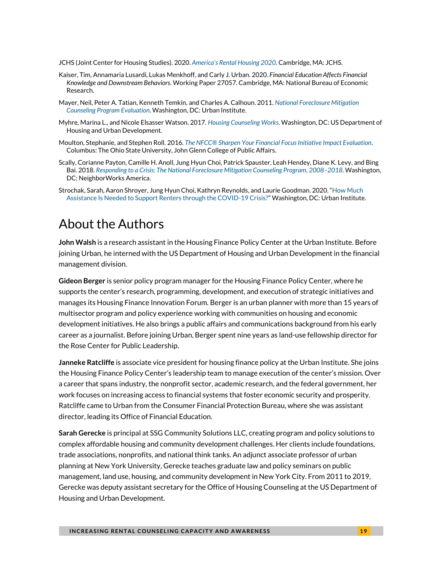- JCHS (Joint Center for Housing Studies). 2020. *[America's Rental Housing 2020](https://www.jchs.harvard.edu/sites/default/files/reports/files/Harvard_JCHS_Americas_Rental_Housing_2020.pdf)*. Cambridge, MA: JCHS.
- Kaiser, Tim, Annamaria Lusardi, Lukas Menkhoff, and Carly J. Urban. 2020. *Financial Education Affects Financial Knowledge and Downstream Behaviors*. Working Paper 27057. Cambridge, MA: National Bureau of Economic Research.
- Mayer, Neil, Peter A. Tatian, Kenneth Temkin, and Charles A. Calhoun. 2011. *[National Foreclosure Mitigation](http://www.urban.org/sites/default/files/publication/24966/412475-National-Foreclosure-Mitigation-Counseling-Program-Evaluation-Final-Report-Rounds-and-.PDF)  [Counseling Program Evaluation](http://www.urban.org/sites/default/files/publication/24966/412475-National-Foreclosure-Mitigation-Counseling-Program-Evaluation-Final-Report-Rounds-and-.PDF)*. Washington, DC: Urban Institute.
- Myhre, Marina L., and Nicole Elsasser Watson. 2017. *[Housing Counseling Works](https://www.huduser.gov/portal/sites/default/files/pdf/Housing-Counseling-Works.pdf)*. Washington, DC: US Department of Housing and Urban Development.
- Moulton, Stephanie, and Stephen Roll. 2016. *[The NFCC® Sharpen Your Financial Focus Initiative Impact Evaluation](https://www.nfcc.org/wp-content/uploads/2019/04/134236_NFCC_WEB.pdf)*. Columbus: The Ohio State University, John Glenn College of Public Affairs.
- Scally, Corianne Payton, Camille H. Anoll, Jung Hyun Choi, Patrick Spauster, Leah Hendey, Diane K. Levy, and Bing Bai. 2018. *[Responding to a Crisis: The National Foreclosure Mitigation Counseling Program, 2008](https://www.neighborworks.org/NFMCCapstoneReport)–2018*. Washington, DC: NeighborWorks America.
- Strochak, Sarah, Aaron Shroyer, Jung Hyun Choi, Kathryn Reynolds, and Laurie Goodman. 2020. "[How Much](https://www.urban.org/research/publication/how-much-assistance-needed-support-renters-through-covid-19-crisis)  [Assistance Is Needed to Support Renters through the COVID-19 Crisis?](https://www.urban.org/research/publication/how-much-assistance-needed-support-renters-through-covid-19-crisis)" Washington, DC: Urban Institute.

### About the Authors

**John Walsh** is a research assistant in the Housing Finance Policy Center at the Urban Institute. Before joining Urban, he interned with the US Department of Housing and Urban Development in the financial management division.

**Gideon Berger** is senior policy program manager for the Housing Finance Policy Center, where he supports the center's research, programming, development, and execution of strategic initiatives and manages its Housing Finance Innovation Forum. Berger is an urban planner with more than 15 years of multisector program and policy experience working with communities on housing and economic development initiatives. He also brings a public affairs and communications background from his early career as a journalist. Before joining Urban, Berger spent nine years as land-use fellowship director for the Rose Center for Public Leadership.

**Janneke Ratcliffe** is associate vice president for housing finance policy at the Urban Institute. She joins the Housing Finance Policy Center's leadership team to manage execution of the center's mission. Over a career that spans industry, the nonprofit sector, academic research, and the federal government, her work focuses on increasing access to financial systems that foster economic security and prosperity. Ratcliffe came to Urban from the Consumer Financial Protection Bureau, where she was assistant director, leading its Office of Financial Education.

**Sarah Gerecke** is principal at SSG Community Solutions LLC, creating program and policy solutions to complex affordable housing and community development challenges. Her clients include foundations, trade associations, nonprofits, and national think tanks. An adjunct associate professor of urban planning at New York University, Gerecke teaches graduate law and policy seminars on public management, land use, housing, and community development in New York City. From 2011 to 2019, Gerecke was deputy assistant secretary for the Office of Housing Counseling at the US Department of Housing and Urban Development.